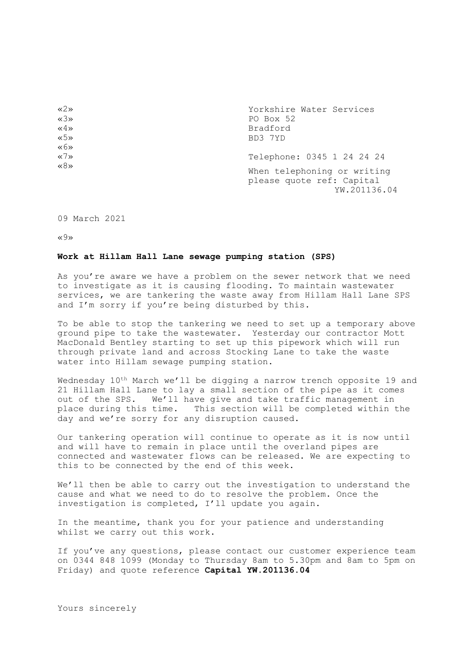| $\langle 2 \rangle$                 | Yorkshire Water Services                                                 |
|-------------------------------------|--------------------------------------------------------------------------|
| $\langle 3 \rangle$                 | PO Box 52                                                                |
| $\ll 4 \gg$                         | Bradford                                                                 |
| $\times$ 5»                         | BD3 7YD                                                                  |
| $\langle 6 \rangle$                 |                                                                          |
| $\langle \langle 7 \rangle \rangle$ | Telephone: 0345 1 24 24 24                                               |
| $\langle 8 \rangle$                 | When telephoning or writing<br>please quote ref: Capital<br>YW.201136.04 |

09 March 2021

«9»

## **Work at Hillam Hall Lane sewage pumping station (SPS)**

As you're aware we have a problem on the sewer network that we need to investigate as it is causing flooding. To maintain wastewater services, we are tankering the waste away from Hillam Hall Lane SPS and I'm sorry if you're being disturbed by this.

To be able to stop the tankering we need to set up a temporary above ground pipe to take the wastewater. Yesterday our contractor Mott MacDonald Bentley starting to set up this pipework which will run through private land and across Stocking Lane to take the waste water into Hillam sewage pumping station.

Wednesday 10<sup>th</sup> March we'll be digging a narrow trench opposite 19 and 21 Hillam Hall Lane to lay a small section of the pipe as it comes out of the SPS. We'll have give and take traffic management in place during this time. This section will be completed within the day and we're sorry for any disruption caused.

Our tankering operation will continue to operate as it is now until and will have to remain in place until the overland pipes are connected and wastewater flows can be released. We are expecting to this to be connected by the end of this week.

We'll then be able to carry out the investigation to understand the cause and what we need to do to resolve the problem. Once the investigation is completed, I'll update you again.

In the meantime, thank you for your patience and understanding whilst we carry out this work.

If you've any questions, please contact our customer experience team on 0344 848 1099 (Monday to Thursday 8am to 5.30pm and 8am to 5pm on Friday) and quote reference **Capital YW.201136.04**

Yours sincerely